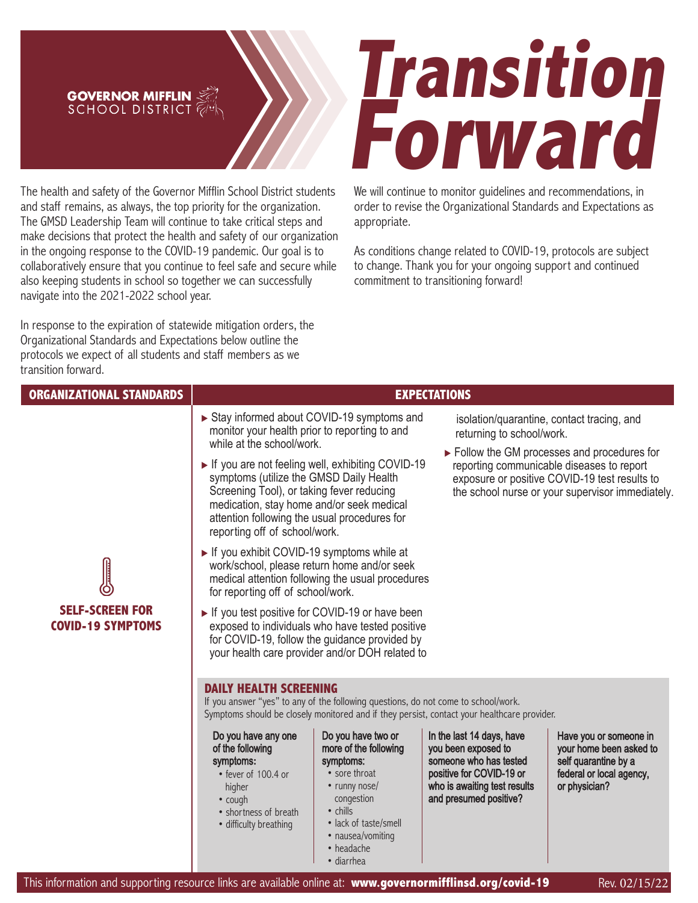## **GOVERNOR MIFFLIN**

The health and safety of the Governor Mifflin School District students and staff remains, as always, the top priority for the organization. The GMSD Leadership Team will continue to take critical steps and make decisions that protect the health and safety of our organization in the ongoing response to the COVID-19 pandemic. Our goal is to collaboratively ensure that you continue to feel safe and secure while also keeping students in school so together we can successfully navigate into the 2021-2022 school year.

In response to the expiration of statewide mitigation orders, the Organizational Standards and Expectations below outline the protocols we expect of all students and staff members as we transition forward.

## **Forward Transition**

We will continue to monitor guidelines and recommendations, in order to revise the Organizational Standards and Expectations as appropriate.

As conditions change related to COVID-19, protocols are subject to change. Thank you for your ongoing support and continued commitment to transitioning forward!

| <b>ORGANIZATIONAL STANDARDS</b>                    | <b>EXPECTATIONS</b>                                                                                                                                                                                                                                                                                                                                                                                                                                                                                                                                                                                                                                                                                                                                                                                                                                                                                                                                                                                                                                                                         |                                                                                                                                                                                                        |                                                                                                                                                                                                                                                                 |                                                                                                                        |
|----------------------------------------------------|---------------------------------------------------------------------------------------------------------------------------------------------------------------------------------------------------------------------------------------------------------------------------------------------------------------------------------------------------------------------------------------------------------------------------------------------------------------------------------------------------------------------------------------------------------------------------------------------------------------------------------------------------------------------------------------------------------------------------------------------------------------------------------------------------------------------------------------------------------------------------------------------------------------------------------------------------------------------------------------------------------------------------------------------------------------------------------------------|--------------------------------------------------------------------------------------------------------------------------------------------------------------------------------------------------------|-----------------------------------------------------------------------------------------------------------------------------------------------------------------------------------------------------------------------------------------------------------------|------------------------------------------------------------------------------------------------------------------------|
| <b>SELF-SCREEN FOR</b><br><b>COVID-19 SYMPTOMS</b> | Stay informed about COVID-19 symptoms and<br>isolation/quarantine, contact tracing, and<br>monitor your health prior to reporting to and<br>returning to school/work.<br>while at the school/work.<br>$\triangleright$ Follow the GM processes and procedures for<br>If you are not feeling well, exhibiting COVID-19<br>reporting communicable diseases to report<br>symptoms (utilize the GMSD Daily Health<br>exposure or positive COVID-19 test results to<br>Screening Tool), or taking fever reducing<br>the school nurse or your supervisor immediately.<br>medication, stay home and/or seek medical<br>attention following the usual procedures for<br>reporting off of school/work.<br>If you exhibit COVID-19 symptoms while at<br>work/school, please return home and/or seek<br>medical attention following the usual procedures<br>for reporting off of school/work.<br>If you test positive for COVID-19 or have been<br>exposed to individuals who have tested positive<br>for COVID-19, follow the guidance provided by<br>your health care provider and/or DOH related to |                                                                                                                                                                                                        |                                                                                                                                                                                                                                                                 |                                                                                                                        |
|                                                    | <b>DAILY HEALTH SCREENING</b><br>If you answer "yes" to any of the following questions, do not come to school/work.<br>Do you have any one<br>of the following<br>symptoms:<br>• fever of 100.4 or<br>higher<br>• cough<br>• shortness of breath<br>· difficulty breathing                                                                                                                                                                                                                                                                                                                                                                                                                                                                                                                                                                                                                                                                                                                                                                                                                  | Do you have two or<br>more of the following<br>symptoms:<br>• sore throat<br>• runny nose/<br>congestion<br>$\bullet$ chills<br>• lack of taste/smell<br>• nausea/vomiting<br>• headache<br>• diarrhea | Symptoms should be closely monitored and if they persist, contact your healthcare provider.<br>In the last 14 days, have<br>you been exposed to<br>someone who has tested<br>positive for COVID-19 or<br>who is awaiting test results<br>and presumed positive? | Have you or someone in<br>your home been asked to<br>self quarantine by a<br>federal or local agency,<br>or physician? |